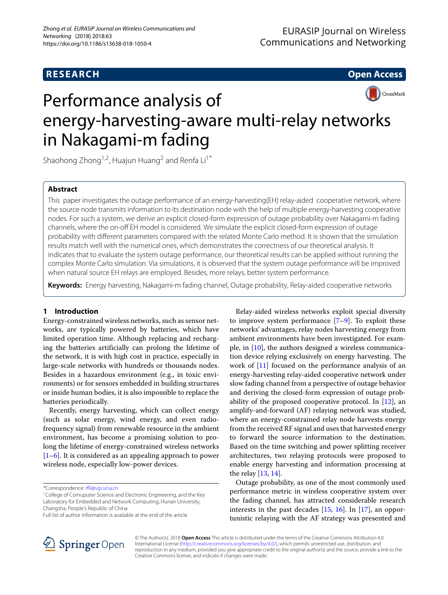**RESEARCH Open Access**



# Performance analysis of energy-harvesting-aware multi-relay networks in Nakagami-m fading

Shaohong Zhong<sup>1,2</sup>, Huajun Huang<sup>2</sup> and Renfa Li<sup>1\*</sup>

### **Abstract**

This paper investigates the outage performance of an energy-harvesting(EH) relay-aided cooperative network, where the source node transmits information to its destination node with the help of multiple energy-harvesting cooperative nodes. For such a system, we derive an explicit closed-form expression of outage probability over Nakagami-m fading channels, where the on-off EH model is considered. We simulate the explicit closed-form expression of outage probability with different parameters compared with the related Monte Carlo method. It is shown that the simulation results match well with the numerical ones, which demonstrates the correctness of our theoretical analysis. It indicates that to evaluate the system outage performance, our theoretical results can be applied without running the complex Monte Carlo simulation. Via simulations, it is observed that the system outage performance will be improved when natural source EH relays are employed. Besides, more relays, better system performance.

**Keywords:** Energy harvesting, Nakagami-m fading channel, Outage probability, Relay-aided cooperative networks

#### **1 Introduction**

Energy-constrained wireless networks, such as sensor networks, are typically powered by batteries, which have limited operation time. Although replacing and recharging the batteries artificially can prolong the lifetime of the network, it is with high cost in practice, especially in large-scale networks with hundreds or thousands nodes. Besides in a hazardous environment (e.g., in toxic environments) or for sensors embedded in building structures or inside human bodies, it is also impossible to replace the batteries periodically.

Recently, energy harvesting, which can collect energy (such as solar energy, wind energy, and even radiofrequency signal) from renewable resource in the ambient environment, has become a promising solution to prolong the lifetime of energy-constrained wireless networks [\[1](#page-7-0)[–6\]](#page-7-1). It is considered as an appealing approach to power wireless node, especially low-power devices.

\*Correspondence: [rfli@vip.sina.cn](mailto: rfli@vip.sina.cn)

Relay-aided wireless networks exploit special diversity to improve system performance  $[7-9]$  $[7-9]$ . To exploit these networks' advantages, relay nodes harvesting energy from ambient environments have been investigated. For example, in  $[10]$ , the authors designed a wireless communication device relying exclusively on energy harvesting. The work of [\[11\]](#page-7-5) focused on the performance analysis of an energy-harvesting relay-aided cooperative network under slow fading channel from a perspective of outage behavior and deriving the closed-form expression of outage probability of the proposed cooperative protocol. In [\[12\]](#page-7-6), an amplify-and-forward (AF) relaying network was studied, where an energy-constrained relay node harvests energy from the received RF signal and uses that harvested energy to forward the source information to the destination. Based on the time switching and power splitting receiver architectures, two relaying protocols were proposed to enable energy harvesting and information processing at the relay [\[13,](#page-7-7) [14\]](#page-7-8).

Outage probability, as one of the most commonly used performance metric in wireless cooperative system over the fading channel, has attracted considerable research interests in the past decades [\[15,](#page-7-9) [16\]](#page-7-10). In [\[17\]](#page-7-11), an opportunistic relaying with the AF strategy was presented and



© The Author(s). 2018 **Open Access** This article is distributed under the terms of the Creative Commons Attribution 4.0 International License [\(http://creativecommons.org/licenses/by/4.0/\)](http://creativecommons.org/licenses/by/4.0/), which permits unrestricted use, distribution, and reproduction in any medium, provided you give appropriate credit to the original author(s) and the source, provide a link to the Creative Commons license, and indicate if changes were made.

<sup>&</sup>lt;sup>1</sup>College of Comuputer Science and Electronic Engineering, and the Key Laboratory for Embedded and Network Computing, Hunan University, Changsha, People's Republic of China

Full list of author information is available at the end of the article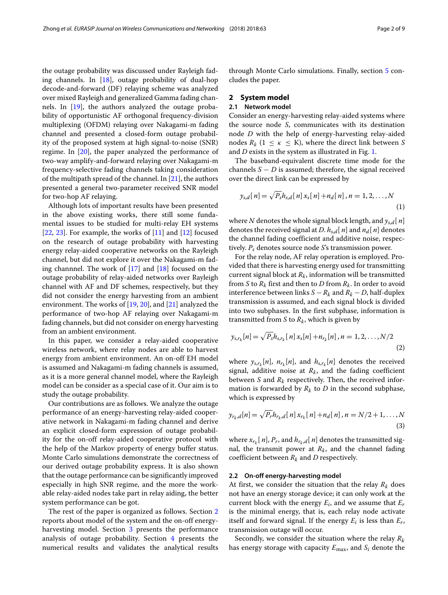the outage probability was discussed under Rayleigh fading channels. In  $[18]$ , outage probability of dual-hop decode-and-forward (DF) relaying scheme was analyzed over mixed Rayleigh and generalized Gamma fading channels. In [\[19\]](#page-7-13), the authors analyzed the outage probability of opportunistic AF orthogonal frequency-division multiplexing (OFDM) relaying over Nakagami-m fading channel and presented a closed-form outage probability of the proposed system at high signal-to-noise (SNR) regime. In [\[20\]](#page-7-14), the paper analyzed the performance of two-way amplify-and-forward relaying over Nakagami-m frequency-selective fading channels taking consideration of the multipath spread of the channel. In [\[21\]](#page-7-15), the authors presented a general two-parameter received SNR model for two-hop AF relaying.

Although lots of important results have been presented in the above existing works, there still some fundamental issues to be studied for multi-relay EH systems [\[22,](#page-7-16) [23\]](#page-7-17). For example, the works of [\[11\]](#page-7-5) and [\[12\]](#page-7-6) focused on the research of outage probability with harvesting energy relay-aided cooperative networks on the Rayleigh channel, but did not explore it over the Nakagami-m fading channnel. The work of [\[17\]](#page-7-11) and [\[18\]](#page-7-12) focused on the outage probability of relay-aided networks over Rayleigh channel with AF and DF schemes, respectively, but they did not consider the energy harvesting from an ambient environment. The works of  $[19, 20]$  $[19, 20]$  $[19, 20]$ , and  $[21]$  analyzed the performance of two-hop AF relaying over Nakagami-m fading channels, but did not consider on energy harvesting from an ambient environment.

In this paper, we consider a relay-aided cooperative wireless network, where relay nodes are able to harvest energy from ambient environment. An on-off EH model is assumed and Nakagami-m fading channels is assumed, as it is a more general channel model, where the Rayleigh model can be consider as a special case of it. Our aim is to study the outage probability.

Our contributions are as follows. We analyze the outage performance of an energy-harvesting relay-aided cooperative network in Nakagami-m fading channel and derive an explicit closed-form expression of outage probability for the on-off relay-aided cooperative protocol with the help of the Markov property of energy buffer status. Monte Carlo simulations demonstrate the correctness of our derived outage probability express. It is also shown that the outage performance can be significantly improved especially in high SNR regime, and the more the workable relay-aided nodes take part in relay aiding, the better system performance can be got.

The rest of the paper is organized as follows. Section [2](#page-1-0) reports about model of the system and the on-off energyharvesting model. Section [3](#page-2-0) presents the performance analysis of outage probability. Section [4](#page-5-0) presents the numerical results and validates the analytical results

through Monte Carlo simulations. Finally, section [5](#page-7-18) concludes the paper.

# <span id="page-1-0"></span>**2 System model**

#### **2.1 Network model**

Consider an energy-harvesting relay-aided systems where the source node *S*, communicates with its destination node *D* with the help of energy-harvesting relay-aided nodes  $R_k$  (1  $\leq$   $\kappa$   $\leq$  K), where the direct link between *S* and *D* exists in the system as illustrated in Fig. [1.](#page-2-1)

The baseband-equivalent discrete time mode for the channels  $S - D$  is assumed; therefore, the signal received over the direct link can be expressed by

$$
y_{s,d}[n] = \sqrt{P_s} h_{s,d}[n] x_s[n] + n_d[n], n = 1, 2, ..., N
$$
\n(1)

where *N* denotes the whole signal block length, and *ys*,*d*[ *n*] denotes the received signal at *D*.  $h_{s,d}[n]$  and  $n_d[n]$  denotes the channel fading coefficient and additive noise, respectively. *Ps* denotes source node *S*'s transmission power.

For the relay node, AF relay operation is employed. Provided that there is harvesting energy used for transmitting current signal block at  $R_k$ , information will be transmitted from *S* to  $R_k$  first and then to *D* from  $R_k$ . In order to avoid interference between links *S* − *Rk* and *Rk* − *D*, half-duplex transmission is assumed, and each signal block is divided into two subphases. In the first subphase, information is transmitted from  $S$  to  $R_k$ , which is given by

<span id="page-1-1"></span>
$$
y_{s,r_k}[n] = \sqrt{P_s} h_{s,r_k}[n] x_s[n] + n_{r_k}[n], n = 1, 2, ..., N/2
$$
\n(2)

where  $y_{s,r_k}[n]$ ,  $n_{r_k}[n]$ , and  $h_{s,r_k}[n]$  denotes the received signal, additive noise at  $R_k$ , and the fading coefficient between *S* and *Rk* respectively. Then, the received information is forwarded by  $R_k$  to  $D$  in the second subphase, which is expressed by

<span id="page-1-2"></span>
$$
y_{r_k,d}[n] = \sqrt{P_r} h_{r_k,d}[n] x_{r_k}[n] + n_d[n], n = N/2 + 1, ..., N
$$
\n(3)

where  $x_{r_k}[n]$ ,  $P_r$ , and  $h_{r_k,d}[n]$  denotes the transmitted signal, the transmit power at  $R_k$ , and the channel fading coefficient between  $R_k$  and  $D$  respectively.

#### **2.2 On-off energy-harvesting model**

At first, we consider the situation that the relay  $R_k$  does not have an energy storage device; it can only work at the current block with the energy *Ei*, and we assume that *Er* is the minimal energy, that is, each relay node activate itself and forward signal. If the energy  $E_i$  is less than  $E_r$ , transmission outage will occur.

Secondly, we consider the situation where the relay *Rk* has energy storage with capacity *E*max, and *Si* denote the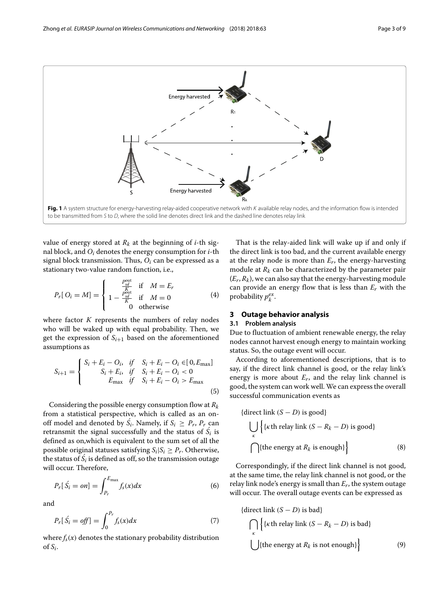

<span id="page-2-1"></span>value of energy stored at  $R_k$  at the beginning of *i*-th signal block, and *Oi* denotes the energy consumption for *i*-th signal block transmission. Thus, *Oi* can be expressed as a stationary two-value random function, i.e.,

$$
P_r[O_i = M] = \begin{cases} \n\frac{P_{sd}^{\text{out}}}{K} & \text{if } M = E_r\\ \n1 - \frac{P_{sd}^{\text{out}}}{K} & \text{if } M = 0\\ \n0 & \text{otherwise} \n\end{cases} \tag{4}
$$

where factor *K* represents the numbers of relay nodes who will be waked up with equal probability. Then, we get the expression of  $S_{i+1}$  based on the aforementioned assumptions as

$$
S_{i+1} = \begin{cases} S_i + E_i - O_i, & \text{if } S_i + E_i - O_i \in [0, E_{\text{max}}] \\ S_i + E_i, & \text{if } S_i + E_i - O_i < 0 \\ E_{\text{max}} & \text{if } S_i + E_i - O_i > E_{\text{max}} \end{cases} \tag{5}
$$

Considering the possible energy consumption flow at *Rk* from a statistical perspective, which is called as an onoff model and denoted by  $S_i$ . Namely, if  $S_i \geq P_r$ ,  $P_r$  can retransmit the signal successfully and the status of  $S_i$  is defined as on,which is equivalent to the sum set of all the possible original statuses satisfying  $S_i|S_i \geq P_r$ . Otherwise, the status of  $S_i$  is defined as off, so the transmission outage will occur. Therefore,

$$
P_r[\hat{S}_i = on] = \int_{P_r}^{E_{\text{max}}} f_s(x) dx \tag{6}
$$

and

$$
P_r[S_i = off] = \int_0^{P_r} f_s(x) dx \tag{7}
$$

where  $f_s(x)$  denotes the stationary probability distribution of  $S_i$ .

That is the relay-aided link will wake up if and only if the direct link is too bad, and the current available energy at the relay node is more than *Er*, the energy-harvesting module at  $R_k$  can be characterized by the parameter pair  $(E_r, R_k)$ , we can also say that the energy-harvesting module can provide an energy flow that is less than *Er* with the probability  $p_k^{ex}$ .

#### <span id="page-2-0"></span>**3 Outage behavior analysis**

#### **3.1 Problem analysis**

Due to fluctuation of ambient renewable energy, the relay nodes cannot harvest enough energy to maintain working status. So, the outage event will occur.

According to aforementioned descriptions, that is to say, if the direct link channel is good, or the relay link's energy is more about *Er*, and the relay link channel is good, the system can work well. We can express the overall successful communication events as

{direct link 
$$
(S - D)
$$
 is good}  
\n
$$
\bigcup_{k} \{ \{k \text{th relay link } (S - R_k - D) \text{ is good} \}
$$
\n{the energy at  $R_k$  is enough} (8)

Correspondingly, if the direct link channel is not good, at the same time, the relay link channel is not good, or the relay link node's energy is small than *Er*, the system outage will occur. The overall outage events can be expressed as

<span id="page-2-2"></span>{direct link 
$$
(S - D)
$$
 is bad}  
\n
$$
\bigcap_{k} \{k \text{th relay link } (S - R_k - D) \text{ is bad}\}
$$
\n
$$
\bigcup \{\text{the energy at } R_k \text{ is not enough}\}\
$$
\n(9)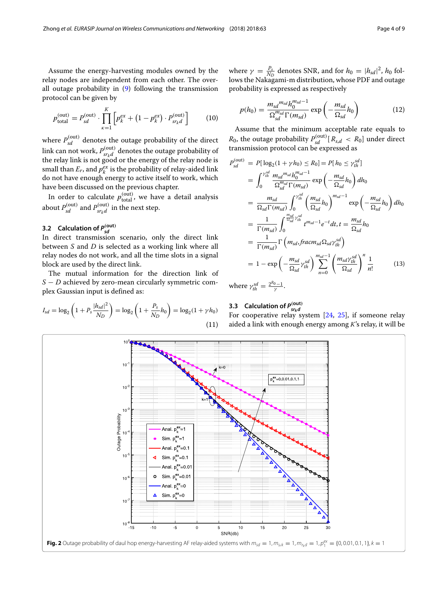Assume the energy-harvesting modules owned by the relay nodes are independent from each other. The overall outage probability in [\(9\)](#page-2-2) following the transmission protocol can be given by

<span id="page-3-1"></span>
$$
p_{\text{total}}^{(\text{out})} = P_{sd}^{(\text{out})} \cdot \prod_{\kappa=1}^{K} \left[ p_{\kappa}^{ex} + (1 - p_{\kappa}^{ex}) \cdot P_{sr_{\kappa}d}^{(\text{out})} \right] \tag{10}
$$

where  $P_{sd}^{\text{(out)}}$  denotes the outage probability of the direct link can not work,  $P_{sr_kd}^{(\mathrm{out})}$  denotes the outage probability of<br>the relay link is not good or the energy of the relay node is small than  $E_r$ , and  $p_k^{ex}$  is the probability of relay-aided link do not have enough energy to active itself to work, which have been discussed on the previous chapter.

In order to calculate  $p_{\text{total}}^{(\text{out})}$ , we have a detail analysis about  $P_{sd}^{(\text{out})}$  and  $P_{srkd}^{(\text{out})}$  in the next step.

# **3.2 Calculation of** *P(***out***) sd*

In direct transmission scenario, only the direct link between *S* and *D* is selected as a working link where all relay nodes do not work, and all the time slots in a signal block are used by the direct link.

The mutual information for the direction link of *S* − *D* achieved by zero-mean circularly symmetric complex Gaussian input is defined as:

$$
I_{sd} = \log_2\left(1 + P_s \frac{|h_{sd}|^2}{N_D}\right) = \log_2\left(1 + \frac{P_s}{N_D} h_0\right) = \log_2(1 + \gamma h_0)
$$
\n(11)

where  $\gamma = \frac{P_s}{N_D}$  denotes SNR, and for  $h_0 = |h_{sd}|^2$ ,  $h_0$  follows the Nakagami-m distribution, whose PDF and outage probability is expressed as respectively

$$
p(h_0) = \frac{m_{sd}^{m_{sd}} h_0^{m_{sd}-1}}{\Omega_{sd}^{m_{sd}} \Gamma(m_{sd})} \exp\left(-\frac{m_{sd}}{\Omega_{sd}} h_0\right)
$$
(12)

Assume that the minimum acceptable rate equals to  $R_0$ , the outage probability  $P_{sd}^{\text{(out)}}[R_{s,d} \, < R_0]$  under direct transmission protocol can be expressed as

<span id="page-3-0"></span>
$$
P_{sd}^{(\text{out})} = P[\log_2(1 + \gamma h_0) \le R_0] = P[h_0 \le \gamma_{th}^{sd}]
$$
  
\n
$$
= \int_0^{\gamma_{th}^{sd}} \frac{m_{sd} m_{sd} h_0^{m_{sd}-1}}{\Omega_{sd}^{m_{sd}} \Gamma(m_{sd})} \exp\left(-\frac{m_{sd}}{\Omega_{sd}} h_0\right) dh_0
$$
  
\n
$$
= \frac{m_{sd}}{\Omega_{sd} \Gamma(m_{sd})} \int_0^{\gamma_{th}^{sd}} \left(\frac{m_{sd}}{\Omega_{sd}} h_0\right)^{m_{sd}-1} \exp\left(-\frac{m_{sd}}{\Omega_{sd}} h_0\right) dh_0
$$
  
\n
$$
= \frac{1}{\Gamma(m_{sd})} \int_0^{\frac{m_{sd}}{\Omega_{sd}} \gamma_{th}^{sd}} t^{m_{sd}-1} e^{-t} dt, t = \frac{m_{sd}}{\Omega_{sd}} h_0
$$
  
\n
$$
= \frac{1}{\Gamma(m_{sd})} \Gamma\left(m_{sd}, \text{frac}\Omega_{sd} \gamma_{th}^{sd}\right)
$$
  
\n
$$
= 1 - \exp\left(-\frac{m_{sd}}{\Omega_{sd}} \gamma_{th}^{sd}\right) \sum_{n=0}^{m_{sd}-1} \left(\frac{m_{sd} \gamma_{th}^{sd}}{\Omega_{sd}}\right)^n \frac{1}{n!}
$$
(13)

where  $\gamma_{th}^{sd} = \frac{2^{R_0}-1}{\gamma}$ .

# **3.3 Calculation of** *P(***out***) srkd*

For cooperative relay system  $[24, 25]$  $[24, 25]$  $[24, 25]$ , if someone relay aided a link with enough energy among *K*'s relay, it will be

<span id="page-3-2"></span>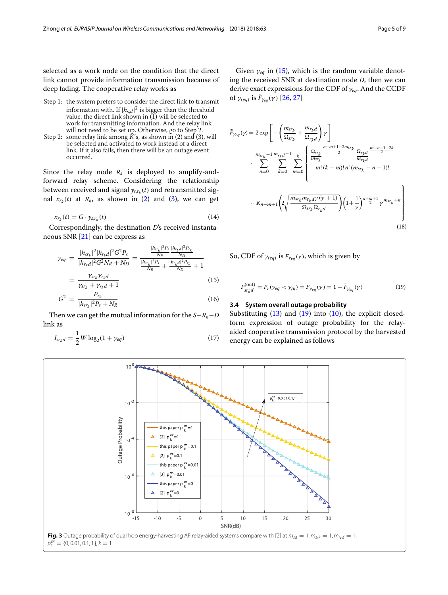selected as a work node on the condition that the direct link cannot provide information transmission because of deep fading. The cooperative relay works as

- Step 1: the system prefers to consider the direct link to transmit information with. If  $|h_{s,d}|^2$  is bigger than the threshold value, the direct link shown in (1) will be selected to work for transmitting information. And the relay link will not need to be set up. Otherwise, go to Step 2.
- Step 2: some relay link among  $\hat{K}$ 's, as shown in (2) and (3), will be selected and activated to work instead of a direct link. If it also fails, then there will be an outage event occurred.

Since the relay node  $R_k$  is deployed to amplify-andforward relay scheme. Considering the relationship between received and signal  $y_{s,r_k}(t)$  and retransmitted signal  $x_{r_k}(t)$  at  $R_k$ , as shown in [\(2\)](#page-1-1) and [\(3\)](#page-1-2), we can get

$$
x_{r_k}(t) = G \cdot y_{s,r_k}(t) \tag{14}
$$

Correspondingly, the destination *D*'s received instantaneous SNR [\[21\]](#page-7-15) can be express as

<span id="page-4-0"></span>
$$
\gamma_{eq} = \frac{|h_{sr_k}|^2 |h_{r_k d}|^2 G^2 P_s}{|h_{r_k d}|^2 G^2 N_R + N_D} = \frac{\frac{|h_{sr_k}|^2 P_s}{N_R} \frac{|h_{r_k d}|^2 P_r}{N_D}}{\frac{|h_{sr_k}|^2 P_s}{N_R} + \frac{|h_{r_k d}|^2 P_r}{N_D} + 1}
$$
\n
$$
= \frac{\gamma_{sr_k} \gamma_{r_k d}}{\gamma_{sr_k} + \gamma_{r_k d} + 1} \tag{15}
$$

$$
G^2 = \frac{P_{r_k}}{|h_{sr_k}|^2 P_s + N_R}
$$
 (16)

Then we can get the mutual information for the *S*−*Rk*−*D* link as

$$
I_{sr_kd} = \frac{1}{2}W \log_2(1 + \gamma_{eq})
$$
\n(17)

Given  $\gamma_{eq}$  in [\(15\)](#page-4-0), which is the random variable denoting the received SNR at destination node *D*, then we can derive exact expressions for the CDF of γ*eq*. And the CCDF of  $\gamma_{(eq)}$  is  $\bar{F}_{\gamma_{eq}}(\gamma)$  [\[26,](#page-8-1) [27\]](#page-8-2)

$$
\bar{F}_{Yeq}(\gamma) = 2 \exp \left[ - \left( \frac{m_{sr_k}}{\Omega_{sr_k}} + \frac{m_{r_k d}}{\Omega_{r_k d}} \right) \gamma \right]
$$
\n
$$
\sum_{n=0}^{m_{sr_k}-1} \sum_{k=0}^{m_{r_k d}-1} \sum_{m=0}^{k} \left\{ \frac{\frac{\Omega_{sr_k}}{m_{sr_k}} - \frac{m_{r_k d}}{2}}{\frac{m_{sr_k}}{m_{r_k d}} - \frac{m_{r_k d}}{2}} \frac{\frac{m_{r_k d}}{2}}{\frac{m_{r_k d}}{m_{r_k d}} - \frac{m_{r_k d}}{2}} \right\}
$$
\n
$$
K_{n-m+1} \left( 2 \sqrt{\frac{m_{sr_k} m_{r_k d} \gamma(\gamma+1)}{\Omega_{sr_k} \Omega_{r_k d}}} \right) \left( 1 + \frac{1}{\gamma} \right) \frac{n+m+1}{2} \gamma^{m_{sr_k}+k} \right\}
$$
\n(18)

So, CDF of  $\gamma_{(eq)}$  is  $F_{\gamma_{eq}}(\gamma)$ , which is given by

<span id="page-4-1"></span>
$$
P_{sr_kd}^{\text{(out)}} = P_r(\gamma_{eq} < \gamma_{th}) = F_{\gamma_{eq}}(\gamma) = 1 - \bar{F}_{\gamma_{eq}}(\gamma) \tag{19}
$$

#### **3.4 System overall outage probability**

Substituting  $(13)$  and  $(19)$  into  $(10)$ , the explicit closedform expression of outage probability for the relayaided cooperative transmission protocol by the harvested energy can be explained as follows

<span id="page-4-2"></span>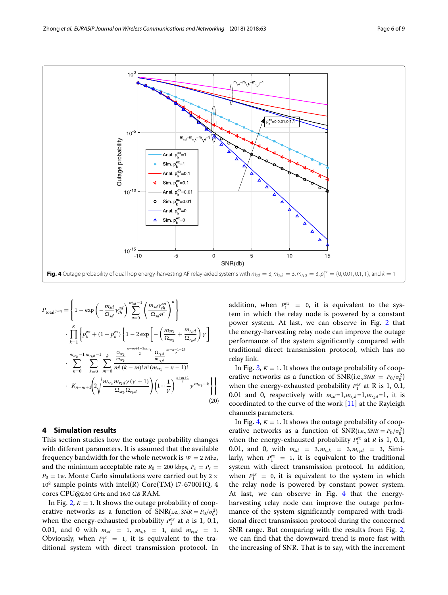

<span id="page-5-1"></span>
$$
P_{\text{total}^{(out)}} = \left\{ 1 - \exp\left( -\frac{m_{sd}}{\Omega_{sd}} \gamma_{th}^{sd} \right) \sum_{n=0}^{m_{sd}-1} \left( \frac{m_{sd} \gamma_{th}^{sd}}{\Omega_{sd} n!} \right)^n \right\}
$$
  

$$
\cdot \prod_{k=1}^{K} \left\{ p_k^{ex} + (1 - p_k^{ex}) \left\{ 1 - 2 \exp\left[ -\left( \frac{m_{sr_k}}{\Omega_{sr_k}} + \frac{m_{r_k d}}{\Omega_{r_k d}} \right) \gamma \right] \right\}
$$
  

$$
\sum_{n=0}^{m_{sr_k}-1} \sum_{k=0}^{m_{r_k d}-1} \sum_{m=0}^{k} \frac{\frac{n-m+1-2m_{sr_k}}{\Omega_{sr_k}}}{m! (k-m)! n! (m_{sr_k} - n - 1)!}
$$
  

$$
\cdot K_{n-m+1} \left( 2 \sqrt{\frac{m_{sr_k} m_{r_k d} \gamma(\gamma+1)}{\Omega_{sr_k} \Omega_{r_k d}} \right) \left( 1 + \frac{1}{\gamma} \right)^{\frac{n+m+1}{2}} \gamma^{m_{sr_k}+k} \right\}
$$
(20)

#### <span id="page-5-0"></span>**4 Simulation results**

This section studies how the outage probability changes with different parameters. It is assumed that the available frequency bandwidth for the whole network is  $W = 2$  Mhz, and the minimum acceptable rate  $R_0 = 200$  kbps,  $P_s = P_r =$  $P_0 = 1w$ . Monte Carlo simulations were carried out by 2  $\times$  $10^8$  sample points with intel(R) Core(TM) i7-6700HQ, 4 cores CPU@2.60 GHz and 16.0 *GB* RAM.

In Fig. [2,](#page-3-2)  $K = 1$ . It shows the outage probability of cooperative networks as a function of  $SNR(i.e., SNR = P_0/\sigma_0^2)$ when the energy-exhausted probability  $P_1^{ex}$  at *R* is 1, 0.1, 0.01, and 0 with  $m_{sd} = 1$ ,  $m_{s_r k} = 1$ , and  $m_{r_k d} = 1$ . Obviously, when  $P_1^{ex} = 1$ , it is equivalent to the traditional system with direct transmission protocol. In

addition, when  $P_1^{ex} = 0$ , it is equivalent to the system in which the relay node is powered by a constant power system. At last, we can observe in Fig. [2](#page-3-2) that the energy-harvesting relay node can improve the outage performance of the system significantly compared with traditional direct transmission protocol, which has no relay link.

In Fig.  $3, K = 1$  $3, K = 1$ . It shows the outage probability of cooperative networks as a function of  $SNR(i.e., SNR = P_0/\sigma_0^2)$ when the energy-exhausted probability  $P_1^{ex}$  at R is 1, 0.1, 0.01 and 0, respectively with  $m_{sd}=1, m_{s,k}=1, m_{r_kd}=1$ , it is coordinated to the curve of the work [\[11\]](#page-7-5) at the Rayleigh channels parameters.

In Fig.  $4, K = 1$  $4, K = 1$ . It shows the outage probability of cooperative networks as a function of  $SNR(i.e., SNR = P_0/\sigma_0^2)$ when the energy-exhausted probability  $P_1^{ex}$  at *R* is 1, 0.1, 0.01, and 0, with  $m_{sd} = 3, m_{s_r k} = 3, m_{r_k d} = 3$ , Similarly, when  $P_1^{ex} = 1$ , it is equivalent to the traditional system with direct transmission protocol. In addition, when  $P_1^{ex} = 0$ , it is equivalent to the system in which the relay node is powered by constant power system. At last, we can observe in Fig. [4](#page-5-1) that the energyharvesting relay node can improve the outage performance of the system significantly compared with traditional direct transmission protocol during the concerned SNR range. But comparing with the results from Fig. [2,](#page-3-2) we can find that the downward trend is more fast with the increasing of SNR. That is to say, with the increment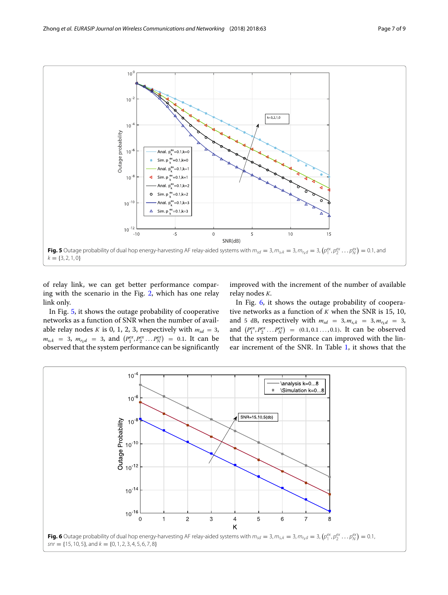

<span id="page-6-0"></span>of relay link, we can get better performance comparing with the scenario in the Fig. [2,](#page-3-2) which has one relay link only.

improved with the increment of the number of available relay nodes *K*.

In Fig. [5,](#page-6-0) it shows the outage probability of cooperative networks as a function of SNR when the number of available relay nodes *K* is 0, 1, 2, 3, respectively with  $m_{sd} = 3$ ,  $m_{s_r k}$  = 3,  $m_{r_k d}$  = 3, and  $(P_1^{ex}, P_2^{ex}, \ldots P_N^{ex})$  = 0.1. It can be observed that the system performance can be significantly

In Fig. [6,](#page-6-1) it shows the outage probability of cooperative networks as a function of *K* when the SNR is 15, 10, and 5 dB, respectively with  $m_{sd} = 3, m_{s,k} = 3, m_{r*d} = 3$ , and  $(P_1^{ex}, P_2^{ex}, \ldots P_N^{ex}) = (0.1, 0.1 \ldots, 0.1)$ . It can be observed that the system performance can improved with the linear increment of the SNR. In Table [1,](#page-7-20) it shows that the

<span id="page-6-1"></span>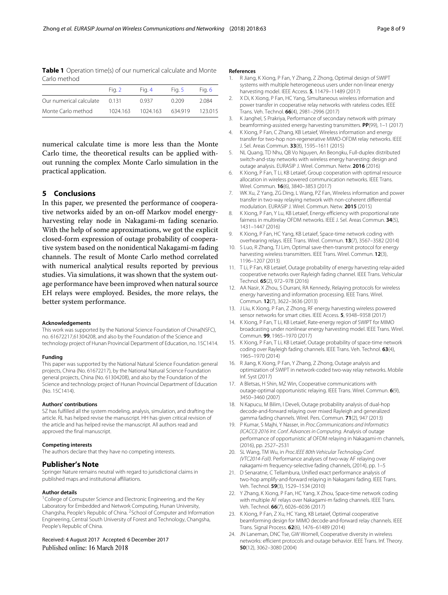<span id="page-7-20"></span>**Table 1** Operation time(s) of our numerical calculate and Monte Carlo method

|                         | Fig. 2   | Fia. 4   | Fig. 5 | Fia. 6 |
|-------------------------|----------|----------|--------|--------|
| Our numerical calculate | በ 131    | 0.937    | 0.209  | 2.084  |
| Monte Carlo method      | 1024.163 | 1024.163 | 634919 | 123015 |

numerical calculate time is more less than the Monte Carlo time, the theoretical results can be applied without running the complex Monte Carlo simulation in the practical application.

#### <span id="page-7-18"></span>**5 Conclusions**

In this paper, we presented the performance of cooperative networks aided by an on-off Markov model energyharvesting relay node in Nakagami-m fading scenario. With the help of some approximations, we got the explicit closed-form expression of outage probability of cooperative system based on the nonidentical Nakagami-m fading channels. The result of Monte Carlo method correlated with numerical analytical results reported by previous studies. Via simulations, it was shown that the system outage performance have been improved when natural source EH relays were employed. Besides, the more relays, the better system performance.

#### **Acknowledgements**

This work was supported by the National Science Foundation of China(NSFC), no. 61672217,61304208, and also by the Foundation of the Science and technology project of Hunan Provincial Department of Education, no. 15C1414.

#### **Funding**

This paper was supported by the National Natural Science Foundation general projects, China (No. 61672217), by the National Natural Science Foundation general projects, China (No. 61304208), and also by the Foundation of the Science and technology project of Hunan Provincial Department of Education (No. 15C1414).

#### **Authors' contributions**

SZ has fulfilled all the system modeling, analysis, simulation, and drafting the article. RL has helped revise the manuscript. HH has given critical revision of the article and has helped revise the manuscript. All authors read and approved the final manuscript.

#### **Competing interests**

The authors declare that they have no competing interests.

#### **Publisher's Note**

Springer Nature remains neutral with regard to jurisdictional claims in published maps and institutional affiliations.

#### **Author details**

<sup>1</sup> College of Comuputer Science and Electronic Engineering, and the Key Laboratory for Embedded and Network Computing, Hunan University, Changsha, People's Republic of China. 2School of Computer and Information Engineering, Central South University of Forest and Technology, Changsha, People's Republic of China.

#### Received: 4 August 2017 Accepted: 6 December 2017 Published online: 16 March 2018

#### **References**

- <span id="page-7-0"></span>1. R Jiang, K Xiong, P Fan, Y Zhang, Z Zhong, Optimal design of SWIPT systems with multiple heterogeneous users under non-linear energy harvesting model. IEEE Access. **5**, 11479–11489 (2017)
- 2. X Di, K Xiong, P Fan, HC Yang, Simultaneous wireless information and power transfer in cooperative relay networks with rateless codes. IEEE Trans. Veh. Technol. **66**(4), 2981–2996 (2017)
- 3. K Janghel, S Prakriya, Performance of secondary network with primary beamforming-assisted energy harvesting transmitters. **PP**(99), 1–1 (2017)
- 4. K Xiong, P Fan, C Zhang, KB Letaief, Wireless information and energy transfer for two-hop non-regenerative MIMO-OFDM relay networks. IEEE J. Sel. Areas Commun. **33**(8), 1595–1611 (2015)
- 5. NL Quang, TD Nhu, QB Vo Nguyen, An Beongku, Full-duplex distributed switch-and-stay networks with wireless energy harvesting: design and outage analysis. EURASIP J. Wirel. Commun. Netw. **2016** (2016)
- <span id="page-7-1"></span>6. K Xiong, P Fan, T Li, KB Letaief, Group cooperation with optimal resource allocation in wireless powered communication networks. IEEE Trans. Wirel. Commun. **16**(6), 3840–3853 (2017)
- <span id="page-7-2"></span>7. WK Xu, Z Yang, ZG Ding, L Wang, PZ Fan, Wireless information and power transfer in two-way relaying network with non-coherent differential modulation. EURASIP J. Wirel. Commun. Netw. **2015** (2015)
- 8. K Xiong, P Fan, Y Lu, KB Letaief, Energy efficiency with proportional rate fairness in multirelay OFDM networks. IEEE J. Sel. Areas Commun. **34**(5), 1431–1447 (2016)
- <span id="page-7-3"></span>9. K Xiong, P Fan, HC Yang, KB Letaief, Space-time network coding with overhearing relays. IEEE Trans. Wirel. Commun. **13**(7), 3567–3582 (2014)
- <span id="page-7-4"></span>10. S Luo, R Zhang, TJ Lim, Optimal save-then-transmit protocol for energy harvesting wireless transmitters. IEEE Trans. Wirel. Commun. **12**(3), 1196–1207 (2013)
- <span id="page-7-5"></span>11. T Li, P Fan, KB Letaief, Outage probability of energy harvesting relay-aided cooperative networks over Rayleigh fading channel. IEEE Trans. Vehicular Technol. **65**(2), 972–978 (2016)
- <span id="page-7-6"></span>12. AA Nasir, X Zhou, S Durrani, RA Kennedy, Relaying protocols for wireless energy harvesting and information processing. IEEE Trans. Wirel. Commun. **12**(7), 3622–3636 (2013)
- <span id="page-7-7"></span>13. J Liu, K Xiong, P Fan, Z Zhong, RF energy harvesting wireless powered sensor networks for smart cities. IEEE Access. **5**, 9348–9358 (2017)
- <span id="page-7-8"></span>14. K Xiong, P Fan, T Li, KB Letaief, Rate-energy region of SWIPT for MIMO broadcasting under nonlinear energy harvesting model. IEEE Trans. Wirel. Commun. **99**, 1965–1970 (2017)
- <span id="page-7-9"></span>15. K Xiong, P Fan, T Li, KB Letaief, Outage probability of space-time network coding over Rayleigh fading channels. IEEE Trans. Veh. Technol. **63**(4), 1965–1970 (2014)
- <span id="page-7-10"></span>16. R Jiang, K Xiong, P Fan, Y Zhang, Z Zhong, Outage analysis and optimization of SWIPT in network-coded two-way relay networks. Mobile Inf. Syst (2017)
- <span id="page-7-11"></span>17. A Bletsas, H Shin, MZ Win, Cooperative communications with outage-optimal opportunistic relaying. IEEE Trans. Wirel. Commun. **6**(9), 3450–3460 (2007)
- <span id="page-7-12"></span>18. N Kapucu, M Bilim, I Develi, Outage probability analysis of dual-hop decode-and-forward relaying over mixed Rayleigh and generalized gamma fading channels. Wirel. Pers. Commun. **71**(2), 947 (2013)
- <span id="page-7-13"></span>19. P Kumar, S Majhi, Y Nasser, in Proc.Communications and Informatics (ICACCI) 2016 Int. Conf. Advances in Computing. Analysis of outage performance of opportunistic af OFDM relaying in Nakagami-m channels, (2016), pp. 2527–2531
- <span id="page-7-14"></span>20. SL Wang, TM Wu, in Proc.IEEE 80th Vehicular Technology Conf. (VTC2014-Fall). Performance analyses of two-way AF relaying over nakagami-m frequency-selective fading channels, (2014), pp. 1–5
- <span id="page-7-15"></span>21. D Senaratne, C Tellambura, Unified exact performance analysis of two-hop amplify-and-forward relaying in Nakagami fading. IEEE Trans. Veh. Technol. **59**(3), 1529–1534 (2010)
- <span id="page-7-16"></span>22. Y Zhang, K Xiong, P Fan, HC Yang, X Zhou, Space-time network coding with multiple AF relays over Nakagami-m fading channels. IEEE Trans. Veh. Technol. **66**(7), 6026–6036 (2017)
- <span id="page-7-17"></span>23. K Xiong, P Fan, Z Xu, HC Yang, KB Letaief, Optimal cooperative beamforming design for MIMO decode-and-forward relay channels. IEEE Trans. Signal Process. **62**(6), 1476–61489 (2014)
- <span id="page-7-19"></span>24. JN Laneman, DNC Tse, GW Wornell, Cooperative diversity in wireless networks: efficient protocols and outage behavior. IEEE Trans. Inf. Theory. **50**(12), 3062–3080 (2004)